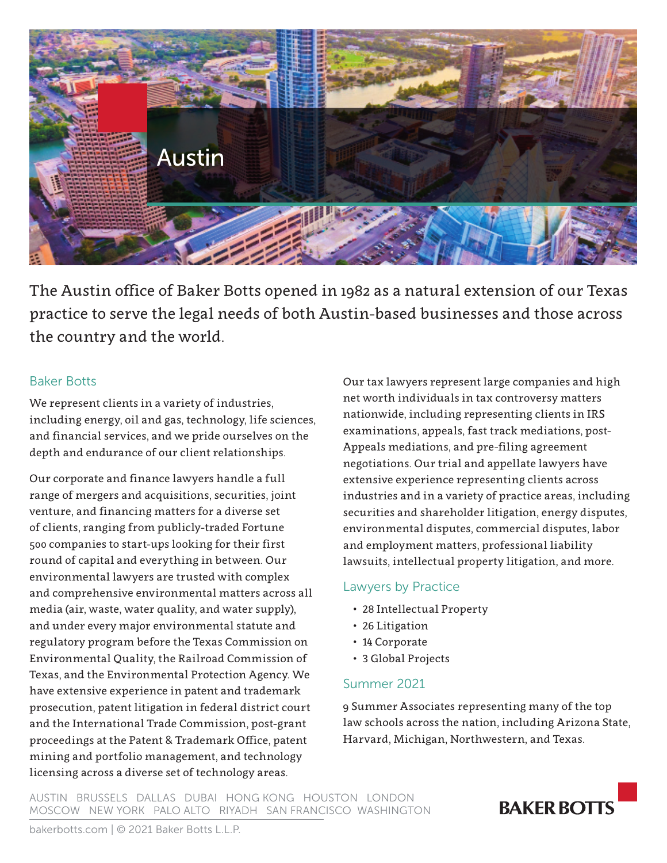

The Austin office of Baker Botts opened in 1982 as a natural extension of our Texas practice to serve the legal needs of both Austin-based businesses and those across the country and the world.

### Baker Botts

We represent clients in a variety of industries, including energy, oil and gas, technology, life sciences, and financial services, and we pride ourselves on the depth and endurance of our client relationships.

Our corporate and finance lawyers handle a full range of mergers and acquisitions, securities, joint venture, and financing matters for a diverse set of clients, ranging from publicly-traded Fortune 500 companies to start-ups looking for their first round of capital and everything in between. Our environmental lawyers are trusted with complex and comprehensive environmental matters across all media (air, waste, water quality, and water supply), and under every major environmental statute and regulatory program before the Texas Commission on Environmental Quality, the Railroad Commission of Texas, and the Environmental Protection Agency. We have extensive experience in patent and trademark prosecution, patent litigation in federal district court and the International Trade Commission, post-grant proceedings at the Patent & Trademark Office, patent mining and portfolio management, and technology licensing across a diverse set of technology areas.

Our tax lawyers represent large companies and high net worth individuals in tax controversy matters nationwide, including representing clients in IRS examinations, appeals, fast track mediations, post-Appeals mediations, and pre-filing agreement negotiations. Our trial and appellate lawyers have extensive experience representing clients across industries and in a variety of practice areas, including securities and shareholder litigation, energy disputes, environmental disputes, commercial disputes, labor and employment matters, professional liability lawsuits, intellectual property litigation, and more.

## Lawyers by Practice

- 28 Intellectual Property
- 26 Litigation
- 14 Corporate
- 3 Global Projects

## Summer 2021

9 Summer Associates representing many of the top law schools across the nation, including Arizona State, Harvard, Michigan, Northwestern, and Texas.

AUSTIN BRUSSELS DALLAS DUBAI HONG KONG HOUSTON LONDON MOSCOW NEW YORK PALO ALTO RIYADH SAN FRANCISCO WASHINGTON